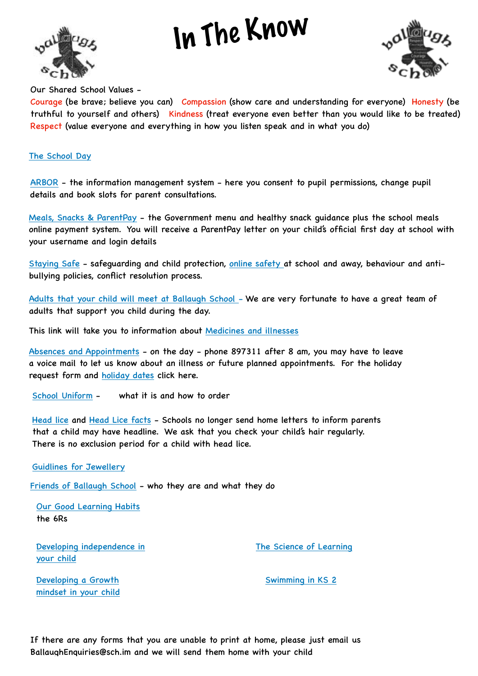## In The Know





Our Shared School Values -

Courage (be brave; believe you can) Compassion (show care and understanding for everyone) Honesty (be truthful to yourself and others) Kindness (treat everyone even better than you would like to be treated) Respect (value everyone and everything in how you listen speak and in what you do)

## [The School Day](https://ballaugh.sch.im/pages/index/view/id/60/The%20School%20Day)

[ARBOR](https://ballaugh.sch.im/pages/index/view/id/59/Using%20ARBOR%20-%20the%20school) - the information management system - here you consent to pupil permissions, change pupil details and book slots for parent consultations.

[Meals, Snacks & ParentPay](https://ballaugh.sch.im/pages/index/view/id/58/School%20Meals,%20Snacks%20and%20ParentPay) - the Government menu and healthy snack guidance plus the school meals online payment system. You will receive a ParentPay letter on your child's official first day at school with your username and login details

[Staying Safe](https://ballaugh.sch.im/pages/index/view/id/7/Policies) - safeguarding and child protection, [online safety a](https://ballaugh.sch.im/pages/index/view/id/15/Online%20Safety)t school and away, behaviour and antibullying policies, conflict resolution process.

[Adults that your child will meet at Ballaugh School](https://ballaugh.sch.im/pages/index/view/id/11/Adults%20@%20Ballaugh) - We are very fortunate to have a great team of adults that support you child during the day.

This link will take you to information about [Medicines and illnesses](https://ballaugh.sch.im/pages/index/view/id/65/Medical,%20Health%20and%20illnesses)

[Absences and Appointments](https://ballaugh.sch.im/pages/index/view/id/61/Absences%20and%20Holidays) - on the day - phone 897311 after 8 am, you may have to leave a voice mail to let us know about an illness or future planned appointments. For the holiday request form and [holiday dates](https://ballaugh.sch.im/pages/index/view/id/8/Holiday%20Dates) click here.

[School Uniform](https://ballaugh.sch.im/pages/index/view/id/62/School%20Uniform) - what it is and how to order

[Head lice](https://www.gov.im/categories/health-and-wellbeing/health-advice/head-lice/) and [Head Lice facts](https://www.gov.im/media/953442/cdc04a_0411_head_lice_facts_25-oct-2012.pdf) - Schools no longer send home letters to inform parents that a child may have headline. We ask that you check your child's hair regularly. There is no exclusion period for a child with head lice.

[Guidlines for Jewellery](https://ballaugh.sch.im/pages/index/view/id/66/Jewellery)

[Friends of Ballaugh School](https://ballaugh.sch.im/pages/index/view/id/63/Friends%20of%20Ballaugh%20School%20-%20FoBS) - who they are and what they do

[Our Good Learning Habits](https://e4l.sch.im/pages/index/view/id/9/Dispositions%20(6Rs)) the 6Rs

[Developing independence in](https://ballaugh.sch.im/site/uploads/pages/12/_media/20220503_5a94216b/flow_chart_for_independance.pdf)  [your child](https://ballaugh.sch.im/site/uploads/pages/12/_media/20220503_5a94216b/flow_chart_for_independance.pdf)

[The Science of Learning](https://sites.google.com/stem.org.uk/science-of-learning-at-home)

[Developing a Growth](https://www.bbc.co.uk/cbeebies/grownups/help-your-child-try-new-things)  [mindset in your child](https://www.bbc.co.uk/cbeebies/grownups/help-your-child-try-new-things) [Swimming in KS 2](https://ballaugh.sch.im/pages/index/view/id/56/Information%20-%20KS%202%20School%20Swimming)

If there are any forms that you are unable to print at home, please just email us [BallaughEnquiries@sch.im](mailto:BallaughEnquiries@sch.im) and we will send them home with your child